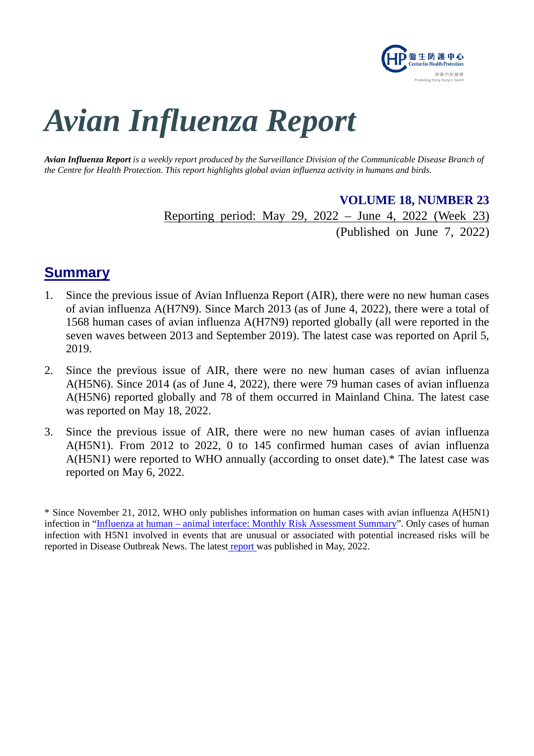

# *Avian Influenza Report*

*Avian Influenza Report is a weekly report produced by the Surveillance Division of the Communicable Disease Branch of the Centre for Health Protection. This report highlights global avian influenza activity in humans and birds.*

> **VOLUME 18, NUMBER 23** Reporting period: May 29, 2022 – June 4, 2022 (Week 23)

> > (Published on June 7, 2022)

## **Summary**

- 1. Since the previous issue of Avian Influenza Report (AIR), there were no new human cases of avian influenza A(H7N9). Since March 2013 (as of June 4, 2022), there were a total of 1568 human cases of avian influenza A(H7N9) reported globally (all were reported in the seven waves between 2013 and September 2019). The latest case was reported on April 5, 2019.
- 2. Since the previous issue of AIR, there were no new human cases of avian influenza A(H5N6). Since 2014 (as of June 4, 2022), there were 79 human cases of avian influenza A(H5N6) reported globally and 78 of them occurred in Mainland China. The latest case was reported on May 18, 2022.
- 3. Since the previous issue of AIR, there were no new human cases of avian influenza A(H5N1). From 2012 to 2022, 0 to 145 confirmed human cases of avian influenza A(H5N1) were reported to WHO annually (according to onset date).\* The latest case was reported on May 6, 2022.

<sup>\*</sup> Since November 21, 2012, WHO only publishes information on human cases with avian influenza A(H5N1) infection in "Influenza at human – [animal interface: Monthly Risk Assessment Summary"](https://www.who.int/teams/global-influenza-programme/avian-influenza/monthly-risk-assessment-summary). Only cases of human infection with H5N1 involved in events that are unusual or associated with potential increased risks will be reported in Disease Outbreak News. The latest [report](https://www.who.int/publications/m/item/influenza-at-the-human-animal-interface-summary-and-assessment-13-may-2022) was published in May, 2022.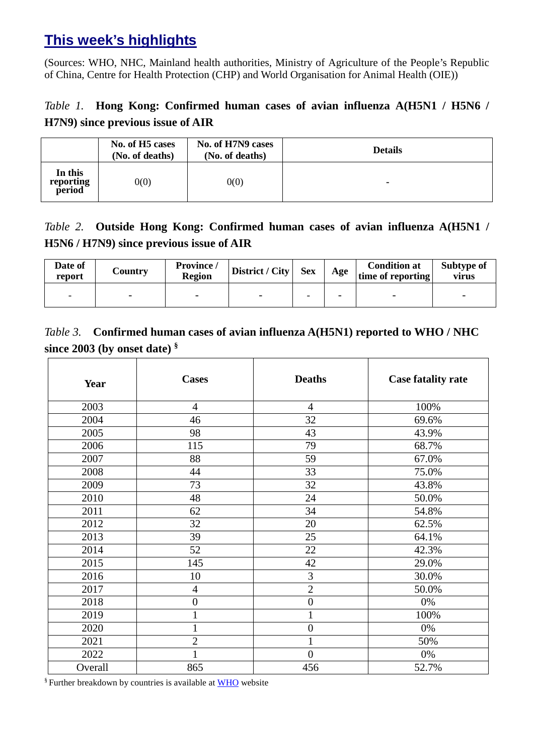# **This week's highlights**

(Sources: WHO, NHC, Mainland health authorities, Ministry of Agriculture of the People's Republic of China, Centre for Health Protection (CHP) and World Organisation for Animal Health (OIE))

## *Table 1.* **Hong Kong: Confirmed human cases of avian influenza A(H5N1 / H5N6 / H7N9) since previous issue of AIR**

|                                | No. of H5 cases<br>(No. of deaths) | No. of H7N9 cases<br>(No. of deaths) | <b>Details</b> |
|--------------------------------|------------------------------------|--------------------------------------|----------------|
| In this<br>reporting<br>period | 0(0)                               | 0(0)                                 |                |

## *Table 2.* **Outside Hong Kong: Confirmed human cases of avian influenza A(H5N1 / H5N6 / H7N9) since previous issue of AIR**

| Date of<br>report        | Country                  | Province /<br><b>Region</b> | District / City | <b>Sex</b> | Age | <b>Condition at</b><br>time of reporting | Subtype of<br>virus      |
|--------------------------|--------------------------|-----------------------------|-----------------|------------|-----|------------------------------------------|--------------------------|
| $\overline{\phantom{0}}$ | $\overline{\phantom{0}}$ |                             |                 | -          |     |                                          | $\overline{\phantom{0}}$ |

## *Table 3.* **Confirmed human cases of avian influenza A(H5N1) reported to WHO / NHC since 2003 (by onset date) §**

| Year    | <b>Cases</b>     | <b>Deaths</b>    | <b>Case fatality rate</b> |
|---------|------------------|------------------|---------------------------|
| 2003    | $\overline{4}$   | $\overline{4}$   | 100%                      |
| 2004    | 46               | 32               | 69.6%                     |
| 2005    | 98               | 43               | 43.9%                     |
| 2006    | 115              | 79               | 68.7%                     |
| 2007    | 88               | 59               | 67.0%                     |
| 2008    | 44               | 33               | 75.0%                     |
| 2009    | 73               | 32               | 43.8%                     |
| 2010    | 48               | 24               | 50.0%                     |
| 2011    | 62               | 34               | 54.8%                     |
| 2012    | 32               | 20               | 62.5%                     |
| 2013    | 39               | 25               | 64.1%                     |
| 2014    | 52               | 22               | 42.3%                     |
| 2015    | 145              | 42               | 29.0%                     |
| 2016    | 10               | 3                | 30.0%                     |
| 2017    | $\overline{4}$   | $\overline{2}$   | 50.0%                     |
| 2018    | $\boldsymbol{0}$ | $\boldsymbol{0}$ | 0%                        |
| 2019    | 1                | $\mathbf{1}$     | 100%                      |
| 2020    | 1                | $\boldsymbol{0}$ | 0%                        |
| 2021    | $\overline{2}$   | $\mathbf{1}$     | 50%                       |
| 2022    | 1                | $\overline{0}$   | 0%                        |
| Overall | 865              | 456              | 52.7%                     |

§ Further breakdown by countries is available at [WHO](https://www.who.int/publications/m/item/cumulative-number-of-confirmed-human-cases-for-avian-influenza-a(h5n1)-reported-to-who-2003-2022-1-april-2022) website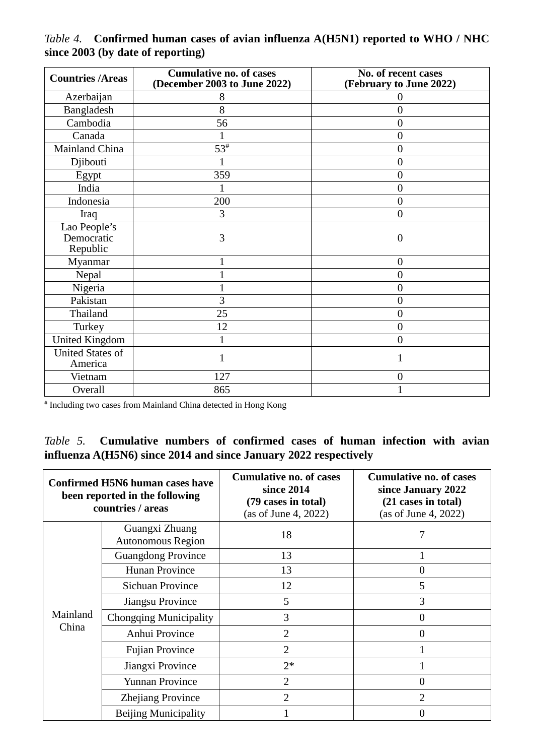| <b>Countries /Areas</b>                | <b>Cumulative no. of cases</b><br>(December 2003 to June 2022) | No. of recent cases<br>(February to June 2022) |
|----------------------------------------|----------------------------------------------------------------|------------------------------------------------|
| Azerbaijan                             | 8                                                              |                                                |
| Bangladesh                             | 8                                                              | $\overline{0}$                                 |
| Cambodia                               | 56                                                             | $\overline{0}$                                 |
| Canada                                 |                                                                | $\overline{0}$                                 |
| Mainland China                         | $53^{\#}$                                                      | $\overline{0}$                                 |
| Djibouti                               |                                                                | $\boldsymbol{0}$                               |
| Egypt                                  | 359                                                            | $\overline{0}$                                 |
| India                                  |                                                                | 0                                              |
| Indonesia                              | 200                                                            | $\overline{0}$                                 |
| Iraq                                   | 3                                                              | $\overline{0}$                                 |
| Lao People's<br>Democratic<br>Republic | 3                                                              | $\Omega$                                       |
| Myanmar                                |                                                                | $\overline{0}$                                 |
| Nepal                                  |                                                                | $\overline{0}$                                 |
| Nigeria                                |                                                                | $\overline{0}$                                 |
| Pakistan                               | 3                                                              | $\overline{0}$                                 |
| Thailand                               | 25                                                             | $\boldsymbol{0}$                               |
| Turkey                                 | 12                                                             | $\overline{0}$                                 |
| <b>United Kingdom</b>                  |                                                                | $\overline{0}$                                 |
| <b>United States of</b><br>America     |                                                                | 1                                              |
| Vietnam                                | 127                                                            | $\overline{0}$                                 |
| Overall                                | 865                                                            |                                                |

*Table 4.* **Confirmed human cases of avian influenza A(H5N1) reported to WHO / NHC since 2003 (by date of reporting)**

# Including two cases from Mainland China detected in Hong Kong

#### *Table 5.* **Cumulative numbers of confirmed cases of human infection with avian influenza A(H5N6) since 2014 and since January 2022 respectively**

| <b>Confirmed H5N6 human cases have</b><br>been reported in the following<br>countries / areas |                                            | <b>Cumulative no. of cases</b><br>since 2014<br>(79 cases in total)<br>(as of June 4, 2022) | <b>Cumulative no. of cases</b><br>since January 2022<br>(21 cases in total)<br>(as of June 4, 2022) |
|-----------------------------------------------------------------------------------------------|--------------------------------------------|---------------------------------------------------------------------------------------------|-----------------------------------------------------------------------------------------------------|
|                                                                                               | Guangxi Zhuang<br><b>Autonomous Region</b> | 18                                                                                          |                                                                                                     |
|                                                                                               | <b>Guangdong Province</b>                  | 13                                                                                          |                                                                                                     |
|                                                                                               | Hunan Province                             | 13                                                                                          | 0                                                                                                   |
|                                                                                               | <b>Sichuan Province</b>                    | 12                                                                                          | 5                                                                                                   |
|                                                                                               | Jiangsu Province                           | 5                                                                                           | 3                                                                                                   |
| Mainland                                                                                      | <b>Chongqing Municipality</b>              | 3                                                                                           | 0                                                                                                   |
| China                                                                                         | Anhui Province                             | $\overline{2}$                                                                              | 0                                                                                                   |
|                                                                                               | <b>Fujian Province</b>                     | $\overline{2}$                                                                              |                                                                                                     |
|                                                                                               | Jiangxi Province                           | $2*$                                                                                        |                                                                                                     |
|                                                                                               | <b>Yunnan Province</b>                     | $\overline{2}$                                                                              | 0                                                                                                   |
|                                                                                               | Zhejiang Province                          | $\overline{2}$                                                                              | $\overline{2}$                                                                                      |
|                                                                                               | <b>Beijing Municipality</b>                |                                                                                             | 0                                                                                                   |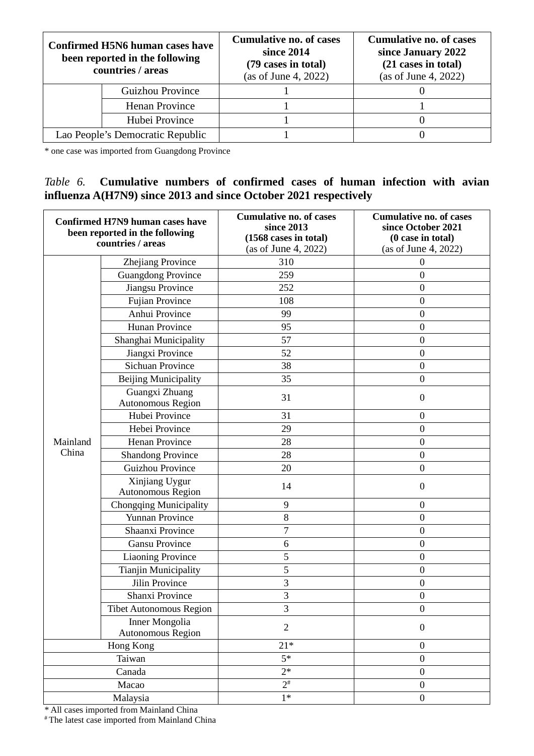| Confirmed H5N6 human cases have<br>been reported in the following<br>countries / areas |                         | <b>Cumulative no. of cases</b><br>since 2014<br>(79 cases in total)<br>(as of June 4, 2022) | <b>Cumulative no. of cases</b><br>since January 2022<br>(21 cases in total)<br>(as of June 4, 2022) |
|----------------------------------------------------------------------------------------|-------------------------|---------------------------------------------------------------------------------------------|-----------------------------------------------------------------------------------------------------|
|                                                                                        | <b>Guizhou Province</b> |                                                                                             |                                                                                                     |
|                                                                                        | Henan Province          |                                                                                             |                                                                                                     |
|                                                                                        | Hubei Province          |                                                                                             |                                                                                                     |
| Lao People's Democratic Republic                                                       |                         |                                                                                             |                                                                                                     |

\* one case was imported from Guangdong Province

#### *Table 6.* **Cumulative numbers of confirmed cases of human infection with avian influenza A(H7N9) since 2013 and since October 2021 respectively**

| <b>Confirmed H7N9 human cases have</b><br>been reported in the following<br>countries / areas |                                     | <b>Cumulative no. of cases</b><br>since 2013<br>(1568 cases in total)<br>(as of June 4, 2022) | <b>Cumulative no. of cases</b><br>since October 2021<br>(0 case in total)<br>(as of June 4, 2022) |
|-----------------------------------------------------------------------------------------------|-------------------------------------|-----------------------------------------------------------------------------------------------|---------------------------------------------------------------------------------------------------|
|                                                                                               | Zhejiang Province                   | 310                                                                                           | $\overline{0}$                                                                                    |
|                                                                                               | <b>Guangdong Province</b>           | 259                                                                                           | $\boldsymbol{0}$                                                                                  |
|                                                                                               | <b>Jiangsu Province</b>             | 252                                                                                           | $\overline{0}$                                                                                    |
|                                                                                               | Fujian Province                     | 108                                                                                           | $\overline{0}$                                                                                    |
|                                                                                               | Anhui Province                      | 99                                                                                            | $\overline{0}$                                                                                    |
|                                                                                               | <b>Hunan Province</b>               | 95                                                                                            | $\mathbf{0}$                                                                                      |
|                                                                                               | Shanghai Municipality               | 57                                                                                            | $\boldsymbol{0}$                                                                                  |
|                                                                                               | Jiangxi Province                    | 52                                                                                            | $\boldsymbol{0}$                                                                                  |
|                                                                                               | <b>Sichuan Province</b>             | 38                                                                                            | $\overline{0}$                                                                                    |
|                                                                                               | <b>Beijing Municipality</b>         | 35                                                                                            | $\boldsymbol{0}$                                                                                  |
|                                                                                               | Guangxi Zhuang<br>Autonomous Region | 31                                                                                            | $\boldsymbol{0}$                                                                                  |
|                                                                                               | Hubei Province                      | 31                                                                                            | $\boldsymbol{0}$                                                                                  |
|                                                                                               | Hebei Province                      | 29                                                                                            | $\overline{0}$                                                                                    |
| Mainland                                                                                      | Henan Province                      | 28                                                                                            | $\boldsymbol{0}$                                                                                  |
| China                                                                                         | <b>Shandong Province</b>            | 28                                                                                            | $\overline{0}$                                                                                    |
|                                                                                               | <b>Guizhou Province</b>             | 20                                                                                            | $\boldsymbol{0}$                                                                                  |
|                                                                                               | Xinjiang Uygur<br>Autonomous Region | 14                                                                                            | $\boldsymbol{0}$                                                                                  |
|                                                                                               | Chongqing Municipality              | 9                                                                                             | $\overline{0}$                                                                                    |
|                                                                                               | Yunnan Province                     | 8                                                                                             | $\boldsymbol{0}$                                                                                  |
|                                                                                               | Shaanxi Province                    | $\overline{7}$                                                                                | $\mathbf{0}$                                                                                      |
|                                                                                               | <b>Gansu Province</b>               | 6                                                                                             | $\overline{0}$                                                                                    |
|                                                                                               | <b>Liaoning Province</b>            | 5                                                                                             | $\mathbf{0}$                                                                                      |
|                                                                                               | <b>Tianjin Municipality</b>         | 5                                                                                             | $\mathbf{0}$                                                                                      |
|                                                                                               | Jilin Province                      | 3                                                                                             | $\overline{0}$                                                                                    |
|                                                                                               | Shanxi Province                     | 3                                                                                             | $\boldsymbol{0}$                                                                                  |
|                                                                                               | <b>Tibet Autonomous Region</b>      | 3                                                                                             | $\boldsymbol{0}$                                                                                  |
|                                                                                               | Inner Mongolia<br>Autonomous Region | $\overline{2}$                                                                                | $\boldsymbol{0}$                                                                                  |
|                                                                                               | Hong Kong                           | $21*$                                                                                         | $\boldsymbol{0}$                                                                                  |
|                                                                                               | Taiwan                              | $5*$                                                                                          | $\boldsymbol{0}$                                                                                  |
|                                                                                               | Canada                              | $2*$                                                                                          | $\boldsymbol{0}$                                                                                  |
| Macao                                                                                         |                                     | $\overline{2^*}$                                                                              | $\boldsymbol{0}$                                                                                  |
| Malaysia                                                                                      |                                     | $1*$                                                                                          | $\boldsymbol{0}$                                                                                  |

\* All cases imported from Mainland China

# The latest case imported from Mainland China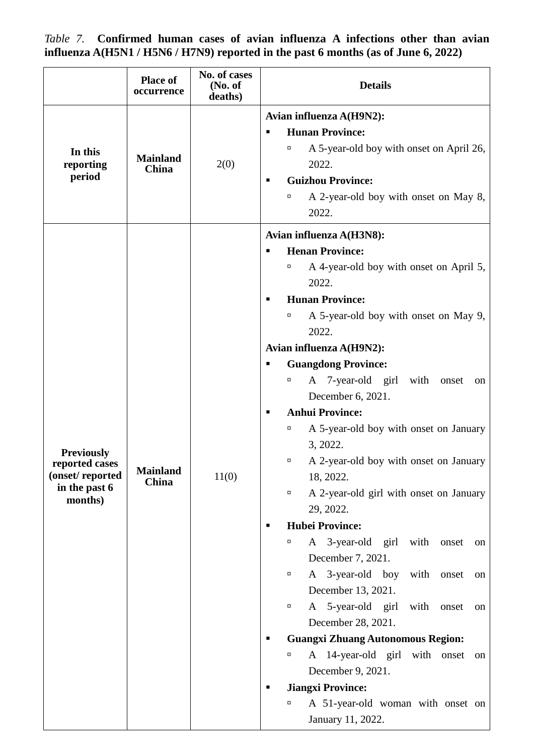*Table 7.* **Confirmed human cases of avian influenza A infections other than avian influenza A(H5N1 / H5N6 / H7N9) reported in the past 6 months (as of June 6, 2022)**

|                                  | <b>Place of</b><br>occurrence   | No. of cases<br>(No. of<br>deaths) | <b>Details</b>                                                        |
|----------------------------------|---------------------------------|------------------------------------|-----------------------------------------------------------------------|
|                                  |                                 | 2(0)                               | Avian influenza A(H9N2):                                              |
|                                  | <b>Mainland</b><br>China        |                                    | <b>Hunan Province:</b><br>п                                           |
| In this<br>reporting             |                                 |                                    | A 5-year-old boy with onset on April 26,<br>α<br>2022.                |
| period                           |                                 |                                    | <b>Guizhou Province:</b><br>$\blacksquare$                            |
|                                  |                                 |                                    | A 2-year-old boy with onset on May 8,<br>α<br>2022.                   |
|                                  |                                 |                                    | Avian influenza A(H3N8):                                              |
|                                  |                                 |                                    | <b>Henan Province:</b><br>П                                           |
|                                  |                                 |                                    | A 4-year-old boy with onset on April 5,<br>α                          |
|                                  |                                 |                                    | 2022.                                                                 |
|                                  |                                 |                                    | <b>Hunan Province:</b>                                                |
|                                  |                                 | 11(0)                              | A 5-year-old boy with onset on May 9,<br>α<br>2022.                   |
|                                  |                                 |                                    | Avian influenza A(H9N2):                                              |
|                                  |                                 |                                    | <b>Guangdong Province:</b><br>п                                       |
|                                  |                                 |                                    | A 7-year-old girl<br>with<br>α<br>onset<br>on                         |
|                                  |                                 |                                    | December 6, 2021.                                                     |
|                                  |                                 |                                    | <b>Anhui Province:</b><br>п                                           |
|                                  |                                 |                                    | A 5-year-old boy with onset on January<br>α                           |
| <b>Previously</b>                |                                 |                                    | 3, 2022.                                                              |
| reported cases                   | <b>Mainland</b><br><b>China</b> |                                    | A 2-year-old boy with onset on January<br>о                           |
| (onset/reported<br>in the past 6 |                                 |                                    | 18, 2022.                                                             |
| months)                          |                                 |                                    | A 2-year-old girl with onset on January<br>$\Box$                     |
|                                  |                                 |                                    | 29, 2022.                                                             |
|                                  |                                 |                                    | <b>Hubei Province:</b><br>п                                           |
|                                  |                                 |                                    | A 3-year-old<br>girl<br>with<br>α<br>onset<br>on<br>December 7, 2021. |
|                                  |                                 |                                    | A 3-year-old boy<br>with<br>onset<br>о<br>on                          |
|                                  |                                 |                                    | December 13, 2021.                                                    |
|                                  |                                 |                                    | A 5-year-old girl<br>with<br>onset<br>о<br>on                         |
|                                  |                                 |                                    | December 28, 2021.                                                    |
|                                  |                                 |                                    | <b>Guangxi Zhuang Autonomous Region:</b><br>п                         |
|                                  |                                 |                                    | A 14-year-old girl with onset<br>α<br>on                              |
|                                  |                                 |                                    | December 9, 2021.                                                     |
|                                  |                                 |                                    | <b>Jiangxi Province:</b><br>п                                         |
|                                  |                                 |                                    | A 51-year-old woman with onset on<br>α                                |
|                                  |                                 |                                    | January 11, 2022.                                                     |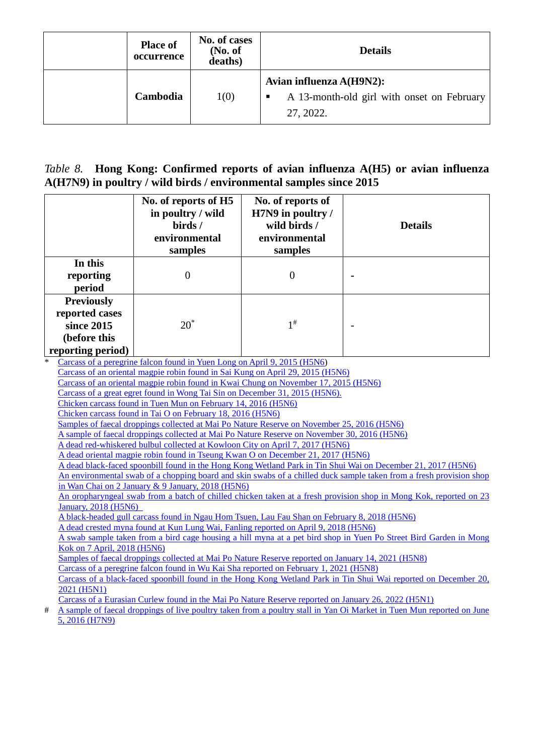| <b>Place of</b><br>occurrence | No. of cases<br>(No. of<br>deaths) | <b>Details</b>                                                                           |  |
|-------------------------------|------------------------------------|------------------------------------------------------------------------------------------|--|
| Cambodia                      | 1(0)                               | Avian influenza A(H9N2):<br>A 13-month-old girl with onset on February<br>п<br>27, 2022. |  |

#### *Table 8.* **Hong Kong: Confirmed reports of avian influenza A(H5) or avian influenza A(H7N9) in poultry / wild birds / environmental samples since 2015**

|   |                                                                                                                                                                                                          | No. of reports of H5<br>in poultry / wild<br>birds /                                                                                                       | No. of reports of<br>H7N9 in poultry /<br>wild birds / | <b>Details</b>                                                                                                                                                                                                                      |  |  |  |
|---|----------------------------------------------------------------------------------------------------------------------------------------------------------------------------------------------------------|------------------------------------------------------------------------------------------------------------------------------------------------------------|--------------------------------------------------------|-------------------------------------------------------------------------------------------------------------------------------------------------------------------------------------------------------------------------------------|--|--|--|
|   |                                                                                                                                                                                                          | environmental<br>samples                                                                                                                                   | environmental<br>samples                               |                                                                                                                                                                                                                                     |  |  |  |
|   | In this                                                                                                                                                                                                  |                                                                                                                                                            |                                                        |                                                                                                                                                                                                                                     |  |  |  |
|   | reporting                                                                                                                                                                                                | $\overline{0}$                                                                                                                                             | $\overline{0}$                                         |                                                                                                                                                                                                                                     |  |  |  |
|   | period                                                                                                                                                                                                   |                                                                                                                                                            |                                                        |                                                                                                                                                                                                                                     |  |  |  |
|   | <b>Previously</b>                                                                                                                                                                                        |                                                                                                                                                            |                                                        |                                                                                                                                                                                                                                     |  |  |  |
|   | reported cases                                                                                                                                                                                           |                                                                                                                                                            |                                                        |                                                                                                                                                                                                                                     |  |  |  |
|   | since 2015                                                                                                                                                                                               | $20^*$                                                                                                                                                     | $1^{\#}$                                               |                                                                                                                                                                                                                                     |  |  |  |
|   |                                                                                                                                                                                                          |                                                                                                                                                            |                                                        |                                                                                                                                                                                                                                     |  |  |  |
|   | (before this                                                                                                                                                                                             |                                                                                                                                                            |                                                        |                                                                                                                                                                                                                                     |  |  |  |
|   | reporting period)                                                                                                                                                                                        |                                                                                                                                                            |                                                        |                                                                                                                                                                                                                                     |  |  |  |
|   |                                                                                                                                                                                                          | Carcass of a peregrine falcon found in Yuen Long on April 9, 2015 (H5N6)<br>Carcass of an oriental magpie robin found in Sai Kung on April 29, 2015 (H5N6) |                                                        |                                                                                                                                                                                                                                     |  |  |  |
|   |                                                                                                                                                                                                          | Carcass of an oriental magpie robin found in Kwai Chung on November 17, 2015 (H5N6)                                                                        |                                                        |                                                                                                                                                                                                                                     |  |  |  |
|   |                                                                                                                                                                                                          | Carcass of a great egret found in Wong Tai Sin on December 31, 2015 (H5N6).                                                                                |                                                        |                                                                                                                                                                                                                                     |  |  |  |
|   |                                                                                                                                                                                                          | Chicken carcass found in Tuen Mun on February 14, 2016 (H5N6)                                                                                              |                                                        |                                                                                                                                                                                                                                     |  |  |  |
|   | Chicken carcass found in Tai O on February 18, 2016 (H5N6)                                                                                                                                               |                                                                                                                                                            |                                                        |                                                                                                                                                                                                                                     |  |  |  |
|   | Samples of faecal droppings collected at Mai Po Nature Reserve on November 25, 2016 (H5N6)                                                                                                               |                                                                                                                                                            |                                                        |                                                                                                                                                                                                                                     |  |  |  |
|   | A sample of faecal droppings collected at Mai Po Nature Reserve on November 30, 2016 (H5N6)                                                                                                              |                                                                                                                                                            |                                                        |                                                                                                                                                                                                                                     |  |  |  |
|   |                                                                                                                                                                                                          | A dead red-whiskered bulbul collected at Kowloon City on April 7, 2017 (H5N6)                                                                              |                                                        |                                                                                                                                                                                                                                     |  |  |  |
|   |                                                                                                                                                                                                          | A dead oriental magpie robin found in Tseung Kwan O on December 21, 2017 (H5N6)                                                                            |                                                        |                                                                                                                                                                                                                                     |  |  |  |
|   |                                                                                                                                                                                                          |                                                                                                                                                            |                                                        | A dead black-faced spoonbill found in the Hong Kong Wetland Park in Tin Shui Wai on December 21, 2017 (H5N6)<br>An environmental swab of a chopping board and skin swabs of a chilled duck sample taken from a fresh provision shop |  |  |  |
|   |                                                                                                                                                                                                          | in Wan Chai on 2 January & 9 January, 2018 (H5N6)                                                                                                          |                                                        |                                                                                                                                                                                                                                     |  |  |  |
|   |                                                                                                                                                                                                          |                                                                                                                                                            |                                                        | An oropharyngeal swab from a batch of chilled chicken taken at a fresh provision shop in Mong Kok, reported on 23                                                                                                                   |  |  |  |
|   | <b>January, 2018 (H5N6)</b>                                                                                                                                                                              |                                                                                                                                                            |                                                        |                                                                                                                                                                                                                                     |  |  |  |
|   |                                                                                                                                                                                                          | A black-headed gull carcass found in Ngau Hom Tsuen, Lau Fau Shan on February 8, 2018 (H5N6)                                                               |                                                        |                                                                                                                                                                                                                                     |  |  |  |
|   |                                                                                                                                                                                                          | A dead crested myna found at Kun Lung Wai, Fanling reported on April 9, 2018 (H5N6)                                                                        |                                                        |                                                                                                                                                                                                                                     |  |  |  |
|   | A swab sample taken from a bird cage housing a hill myna at a pet bird shop in Yuen Po Street Bird Garden in Mong                                                                                        |                                                                                                                                                            |                                                        |                                                                                                                                                                                                                                     |  |  |  |
|   | Kok on 7 April, 2018 (H5N6)                                                                                                                                                                              |                                                                                                                                                            |                                                        |                                                                                                                                                                                                                                     |  |  |  |
|   | Samples of faecal droppings collected at Mai Po Nature Reserve reported on January 14, 2021 (H5N8)                                                                                                       |                                                                                                                                                            |                                                        |                                                                                                                                                                                                                                     |  |  |  |
|   | Carcass of a peregrine falcon found in Wu Kai Sha reported on February 1, 2021 (H5N8)<br>Carcass of a black-faced spoonbill found in the Hong Kong Wetland Park in Tin Shui Wai reported on December 20, |                                                                                                                                                            |                                                        |                                                                                                                                                                                                                                     |  |  |  |
|   | 2021 (H5N1)                                                                                                                                                                                              |                                                                                                                                                            |                                                        |                                                                                                                                                                                                                                     |  |  |  |
|   |                                                                                                                                                                                                          | Carcass of a Eurasian Curlew found in the Mai Po Nature Reserve reported on January 26, 2022 (H5N1)                                                        |                                                        |                                                                                                                                                                                                                                     |  |  |  |
| # |                                                                                                                                                                                                          |                                                                                                                                                            |                                                        | A sample of faecal droppings of live poultry taken from a poultry stall in Yan Oi Market in Tuen Mun reported on June                                                                                                               |  |  |  |
|   | 5, 2016 (H7N9)                                                                                                                                                                                           |                                                                                                                                                            |                                                        |                                                                                                                                                                                                                                     |  |  |  |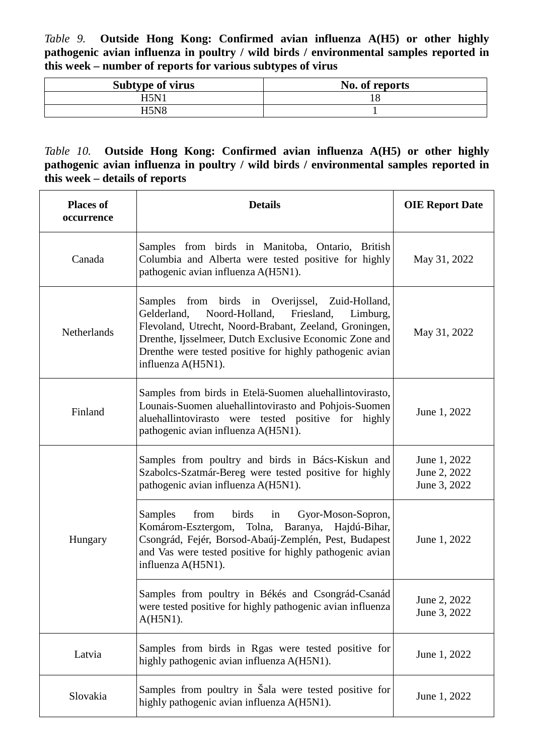*Table 9.* **Outside Hong Kong: Confirmed avian influenza A(H5) or other highly pathogenic avian influenza in poultry / wild birds / environmental samples reported in this week – number of reports for various subtypes of virus**

| <b>Subtype of virus</b> | No. of reports |
|-------------------------|----------------|
| H5N1                    | 18             |
| H5N8                    |                |

#### *Table 10.* **Outside Hong Kong: Confirmed avian influenza A(H5) or other highly pathogenic avian influenza in poultry / wild birds / environmental samples reported in this week – details of reports**

| <b>Places of</b><br>occurrence | <b>Details</b>                                                                                                                                                                                                                                                                                                   | <b>OIE Report Date</b>                       |
|--------------------------------|------------------------------------------------------------------------------------------------------------------------------------------------------------------------------------------------------------------------------------------------------------------------------------------------------------------|----------------------------------------------|
| Canada                         | Samples from birds in Manitoba, Ontario, British<br>Columbia and Alberta were tested positive for highly<br>pathogenic avian influenza A(H5N1).                                                                                                                                                                  | May 31, 2022                                 |
| <b>Netherlands</b>             | Samples from birds in Overijssel, Zuid-Holland,<br>Noord-Holland,<br>Friesland,<br>Gelderland,<br>Limburg,<br>Flevoland, Utrecht, Noord-Brabant, Zeeland, Groningen,<br>Drenthe, Ijsselmeer, Dutch Exclusive Economic Zone and<br>Drenthe were tested positive for highly pathogenic avian<br>influenza A(H5N1). | May 31, 2022                                 |
| Finland                        | Samples from birds in Etelä-Suomen aluehallintovirasto,<br>Lounais-Suomen aluehallintovirasto and Pohjois-Suomen<br>aluehallintovirasto were tested positive for highly<br>pathogenic avian influenza A(H5N1).                                                                                                   | June 1, 2022                                 |
|                                | Samples from poultry and birds in Bács-Kiskun and<br>Szabolcs-Szatmár-Bereg were tested positive for highly<br>pathogenic avian influenza A(H5N1).                                                                                                                                                               | June 1, 2022<br>June 2, 2022<br>June 3, 2022 |
| Hungary                        | Samples<br>from<br>birds<br>Gyor-Moson-Sopron,<br>in<br>Komárom-Esztergom, Tolna, Baranya, Hajdú-Bihar,<br>Csongrád, Fejér, Borsod-Abaúj-Zemplén, Pest, Budapest<br>and Vas were tested positive for highly pathogenic avian<br>influenza A(H5N1).                                                               | June 1, 2022                                 |
|                                | Samples from poultry in Békés and Csongrád-Csanád<br>were tested positive for highly pathogenic avian influenza<br>$A(H5N1)$ .                                                                                                                                                                                   | June 2, 2022<br>June 3, 2022                 |
| Latvia                         | Samples from birds in Rgas were tested positive for<br>highly pathogenic avian influenza A(H5N1).                                                                                                                                                                                                                | June 1, 2022                                 |
| Slovakia                       | Samples from poultry in Sala were tested positive for<br>highly pathogenic avian influenza A(H5N1).                                                                                                                                                                                                              | June 1, 2022                                 |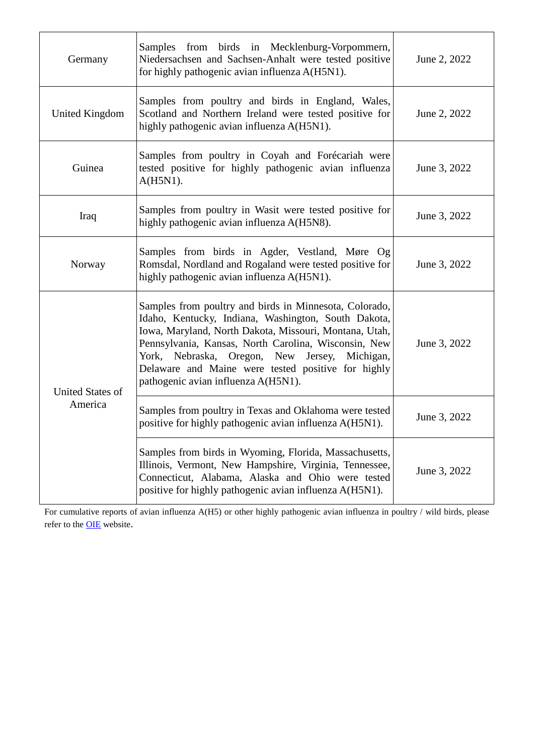| Germany                            | Samples from birds in Mecklenburg-Vorpommern,<br>Niedersachsen and Sachsen-Anhalt were tested positive<br>for highly pathogenic avian influenza A(H5N1).                                                                                                                                                                                                                            | June 2, 2022 |
|------------------------------------|-------------------------------------------------------------------------------------------------------------------------------------------------------------------------------------------------------------------------------------------------------------------------------------------------------------------------------------------------------------------------------------|--------------|
| United Kingdom                     | Samples from poultry and birds in England, Wales,<br>Scotland and Northern Ireland were tested positive for<br>highly pathogenic avian influenza A(H5N1).                                                                                                                                                                                                                           | June 2, 2022 |
| Guinea                             | Samples from poultry in Coyah and Forécariah were<br>tested positive for highly pathogenic avian influenza<br>A(H5N1).                                                                                                                                                                                                                                                              | June 3, 2022 |
| Iraq                               | Samples from poultry in Wasit were tested positive for<br>highly pathogenic avian influenza A(H5N8).                                                                                                                                                                                                                                                                                | June 3, 2022 |
| Norway                             | Samples from birds in Agder, Vestland, Møre Og<br>Romsdal, Nordland and Rogaland were tested positive for<br>highly pathogenic avian influenza A(H5N1).                                                                                                                                                                                                                             | June 3, 2022 |
| <b>United States of</b><br>America | Samples from poultry and birds in Minnesota, Colorado,<br>Idaho, Kentucky, Indiana, Washington, South Dakota,<br>Iowa, Maryland, North Dakota, Missouri, Montana, Utah,<br>Pennsylvania, Kansas, North Carolina, Wisconsin, New<br>York, Nebraska, Oregon, New<br>Michigan,<br>Jersey,<br>Delaware and Maine were tested positive for highly<br>pathogenic avian influenza A(H5N1). | June 3, 2022 |
|                                    | Samples from poultry in Texas and Oklahoma were tested<br>positive for highly pathogenic avian influenza A(H5N1).                                                                                                                                                                                                                                                                   | June 3, 2022 |
|                                    | Samples from birds in Wyoming, Florida, Massachusetts,<br>Illinois, Vermont, New Hampshire, Virginia, Tennessee,<br>Connecticut, Alabama, Alaska and Ohio were tested<br>positive for highly pathogenic avian influenza A(H5N1).                                                                                                                                                    | June 3, 2022 |

For cumulative reports of avian influenza A(H5) or other highly pathogenic avian influenza in poultry / wild birds, please refer to the **OIE** website.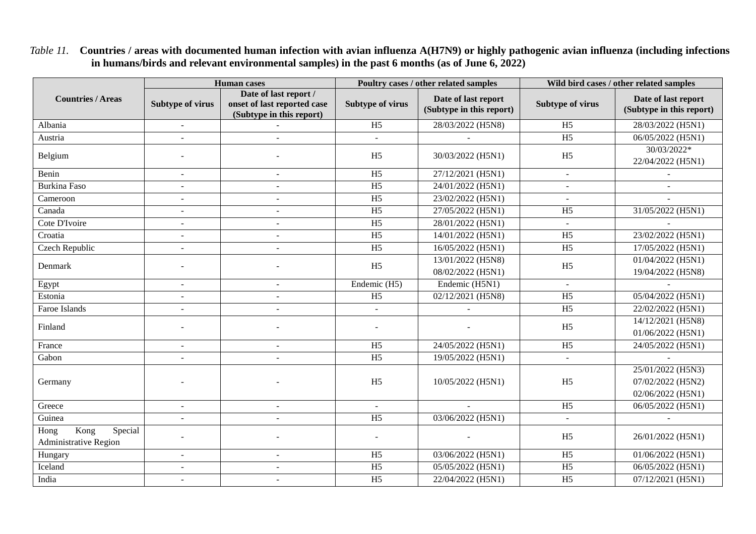*Table 11.* **Countries / areas with documented human infection with avian influenza A(H7N9) or highly pathogenic avian influenza (including infections in humans/birds and relevant environmental samples) in the past 6 months (as of June 6, 2022)**

|                                                                      | <b>Human</b> cases       |                                                                                  | Poultry cases / other related samples |                                                 | Wild bird cases / other related samples |                                                 |
|----------------------------------------------------------------------|--------------------------|----------------------------------------------------------------------------------|---------------------------------------|-------------------------------------------------|-----------------------------------------|-------------------------------------------------|
| <b>Countries / Areas</b>                                             | <b>Subtype of virus</b>  | Date of last report /<br>onset of last reported case<br>(Subtype in this report) | <b>Subtype of virus</b>               | Date of last report<br>(Subtype in this report) | <b>Subtype of virus</b>                 | Date of last report<br>(Subtype in this report) |
| Albania                                                              | $\overline{a}$           |                                                                                  | H <sub>5</sub>                        | 28/03/2022 (H5N8)                               | H <sub>5</sub>                          | 28/03/2022 (H5N1)                               |
| Austria                                                              |                          |                                                                                  |                                       |                                                 | H <sub>5</sub>                          | 06/05/2022 (H5N1)                               |
| Belgium                                                              |                          |                                                                                  | H <sub>5</sub>                        | 30/03/2022 (H5N1)                               | H <sub>5</sub>                          | 30/03/2022*<br>22/04/2022 (H5N1)                |
| Benin                                                                |                          |                                                                                  | H <sub>5</sub>                        | 27/12/2021 (H5N1)                               | $\sim$                                  |                                                 |
| <b>Burkina Faso</b>                                                  | $\overline{a}$           | $\overline{a}$                                                                   | H <sub>5</sub>                        | 24/01/2022 (H5N1)                               |                                         |                                                 |
| Cameroon                                                             | $\blacksquare$           | $\blacksquare$                                                                   | H <sub>5</sub>                        | 23/02/2022 (H5N1)                               |                                         |                                                 |
| Canada                                                               | $\overline{\phantom{a}}$ |                                                                                  | $\overline{H5}$                       | 27/05/2022 (H5N1)                               | H <sub>5</sub>                          | 31/05/2022 (H5N1)                               |
| Cote D'Ivoire                                                        | $\overline{\phantom{a}}$ |                                                                                  | $\overline{H5}$                       | 28/01/2022 (H5N1)                               |                                         |                                                 |
| Croatia                                                              | $\overline{a}$           |                                                                                  | $\overline{H5}$                       | 14/01/2022 (H5N1)                               | H <sub>5</sub>                          | 23/02/2022 (H5N1)                               |
| Czech Republic                                                       | $\sim$                   | $\sim$                                                                           | H <sub>5</sub>                        | 16/05/2022 (H5N1)                               | H <sub>5</sub>                          | 17/05/2022 (H5N1)                               |
| Denmark                                                              |                          |                                                                                  | H <sub>5</sub>                        | 13/01/2022 (H5N8)                               | H <sub>5</sub>                          | 01/04/2022 (H5N1)                               |
|                                                                      |                          |                                                                                  |                                       | 08/02/2022 (H5N1)                               |                                         | 19/04/2022 (H5N8)                               |
| Egypt                                                                | $\overline{a}$           | ÷.                                                                               | Endemic (H5)                          | Endemic (H5N1)                                  |                                         |                                                 |
| Estonia                                                              | $\sim$                   | $\blacksquare$                                                                   | H <sub>5</sub>                        | 02/12/2021 (H5N8)                               | H <sub>5</sub>                          | 05/04/2022 (H5N1)                               |
| Faroe Islands                                                        | $\sim$                   | L,                                                                               | $\blacksquare$                        |                                                 | H <sub>5</sub>                          | 22/02/2022 (H5N1)                               |
| Finland                                                              |                          |                                                                                  |                                       |                                                 | H <sub>5</sub>                          | 14/12/2021 (H5N8)                               |
|                                                                      |                          |                                                                                  |                                       |                                                 |                                         | 01/06/2022 (H5N1)                               |
| France                                                               | $\overline{a}$           |                                                                                  | H <sub>5</sub>                        | 24/05/2022 (H5N1)                               | H <sub>5</sub>                          | 24/05/2022 (H5N1)                               |
| Gabon                                                                | $\blacksquare$           |                                                                                  | H <sub>5</sub>                        | 19/05/2022 (H5N1)                               | $\overline{\phantom{a}}$                |                                                 |
|                                                                      |                          |                                                                                  |                                       |                                                 |                                         | 25/01/2022 (H5N3)                               |
| Germany                                                              |                          |                                                                                  | H <sub>5</sub>                        | 10/05/2022 (H5N1)                               | H <sub>5</sub>                          | 07/02/2022 (H5N2)                               |
|                                                                      |                          |                                                                                  |                                       |                                                 |                                         | 02/06/2022 (H5N1)                               |
| Greece                                                               | $\blacksquare$           | L,                                                                               | $\sim$                                |                                                 | H <sub>5</sub>                          | 06/05/2022 (H5N1)                               |
| Guinea                                                               | $\overline{a}$           | L,                                                                               | H <sub>5</sub>                        | 03/06/2022 (H5N1)                               |                                         |                                                 |
| $\overline{\text{Kong}}$<br>Special<br>Hong<br>Administrative Region |                          |                                                                                  |                                       |                                                 | H <sub>5</sub>                          | 26/01/2022 (H5N1)                               |
| Hungary                                                              | $\overline{a}$           |                                                                                  | H <sub>5</sub>                        | 03/06/2022 (H5N1)                               | H <sub>5</sub>                          | 01/06/2022 (H5N1)                               |
| Iceland                                                              | $\overline{a}$           | $\sim$                                                                           | H <sub>5</sub>                        | 05/05/2022 (H5N1)                               | H <sub>5</sub>                          | 06/05/2022 (H5N1)                               |
| India                                                                | $\blacksquare$           | $\sim$                                                                           | H <sub>5</sub>                        | 22/04/2022 (H5N1)                               | H <sub>5</sub>                          | 07/12/2021 (H5N1)                               |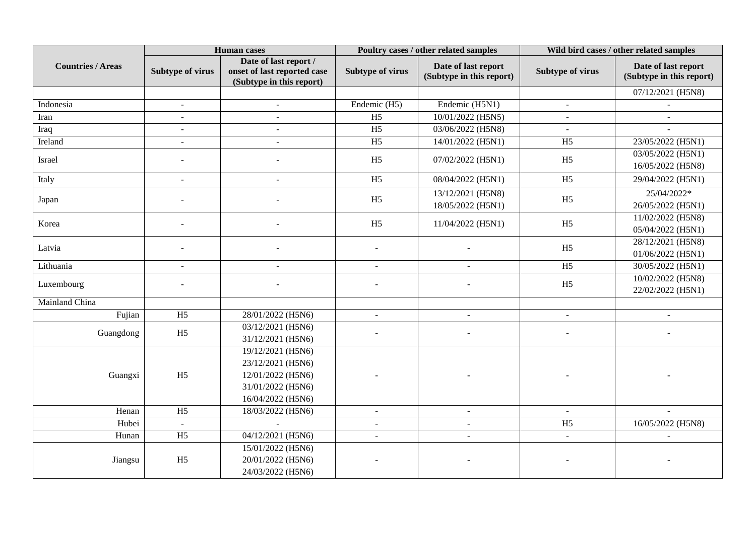|                          | <b>Human</b> cases      |                                                                                                       | Poultry cases / other related samples |                                                 | Wild bird cases / other related samples |                                                 |
|--------------------------|-------------------------|-------------------------------------------------------------------------------------------------------|---------------------------------------|-------------------------------------------------|-----------------------------------------|-------------------------------------------------|
| <b>Countries / Areas</b> | <b>Subtype of virus</b> | Date of last report /<br>onset of last reported case<br>(Subtype in this report)                      | <b>Subtype of virus</b>               | Date of last report<br>(Subtype in this report) | Subtype of virus                        | Date of last report<br>(Subtype in this report) |
|                          |                         |                                                                                                       |                                       |                                                 |                                         | 07/12/2021 (H5N8)                               |
| Indonesia                | $\mathbf{r}$            | $\blacksquare$                                                                                        | Endemic (H5)                          | Endemic (H5N1)                                  | $\sim$                                  |                                                 |
| Iran                     | $\blacksquare$          | $\sim$                                                                                                | H <sub>5</sub>                        | 10/01/2022 (H5N5)                               |                                         | $\sim$                                          |
| Iraq                     | $\sim$                  |                                                                                                       | $\overline{H5}$                       | 03/06/2022 (H5N8)                               |                                         |                                                 |
| Ireland                  | $\blacksquare$          | $\sim$                                                                                                | H <sub>5</sub>                        | 14/01/2022 (H5N1)                               | H <sub>5</sub>                          | 23/05/2022 (H5N1)                               |
| Israel                   |                         |                                                                                                       | H <sub>5</sub>                        | 07/02/2022 (H5N1)                               | H <sub>5</sub>                          | 03/05/2022 (H5N1)<br>16/05/2022 (H5N8)          |
| Italy                    | $\overline{a}$          | $\sim$                                                                                                | H <sub>5</sub>                        | 08/04/2022 (H5N1)                               | H <sub>5</sub>                          | 29/04/2022 (H5N1)                               |
| Japan                    |                         |                                                                                                       | H <sub>5</sub>                        | 13/12/2021 (H5N8)<br>18/05/2022 (H5N1)          | H <sub>5</sub>                          | 25/04/2022*<br>26/05/2022 (H5N1)                |
| Korea                    |                         |                                                                                                       | H <sub>5</sub>                        | 11/04/2022 (H5N1)                               | H <sub>5</sub>                          | 11/02/2022 (H5N8)<br>05/04/2022 (H5N1)          |
| Latvia                   |                         |                                                                                                       |                                       |                                                 | H <sub>5</sub>                          | 28/12/2021 (H5N8)<br>01/06/2022 (H5N1)          |
| Lithuania                | $\blacksquare$          | $\sim$                                                                                                | $\blacksquare$                        | $\sim$                                          | H <sub>5</sub>                          | 30/05/2022 (H5N1)                               |
| Luxembourg               |                         |                                                                                                       |                                       |                                                 | H <sub>5</sub>                          | 10/02/2022 (H5N8)<br>22/02/2022 (H5N1)          |
| Mainland China           |                         |                                                                                                       |                                       |                                                 |                                         |                                                 |
| Fujian                   | H <sub>5</sub>          | 28/01/2022 (H5N6)                                                                                     | $\overline{a}$                        | $\sim$                                          | $\overline{a}$                          | $\sim$                                          |
| Guangdong                | H <sub>5</sub>          | 03/12/2021 (H5N6)<br>31/12/2021 (H5N6)                                                                |                                       |                                                 |                                         |                                                 |
| Guangxi                  | H <sub>5</sub>          | 19/12/2021 (H5N6)<br>23/12/2021 (H5N6)<br>12/01/2022 (H5N6)<br>31/01/2022 (H5N6)<br>16/04/2022 (H5N6) |                                       |                                                 |                                         |                                                 |
| Henan                    | H <sub>5</sub>          | 18/03/2022 (H5N6)                                                                                     | $\sim$                                | $\sim$                                          | $\sim$                                  |                                                 |
| Hubei                    | $\sim$                  |                                                                                                       | $\mathbf{r}$                          | $\sim$                                          | H <sub>5</sub>                          | 16/05/2022 (H5N8)                               |
| Hunan                    | H <sub>5</sub>          | 04/12/2021 (H5N6)                                                                                     | $\blacksquare$                        | $\blacksquare$                                  | $\overline{a}$                          |                                                 |
| Jiangsu                  | H <sub>5</sub>          | 15/01/2022 (H5N6)<br>20/01/2022 (H5N6)<br>24/03/2022 (H5N6)                                           |                                       |                                                 |                                         |                                                 |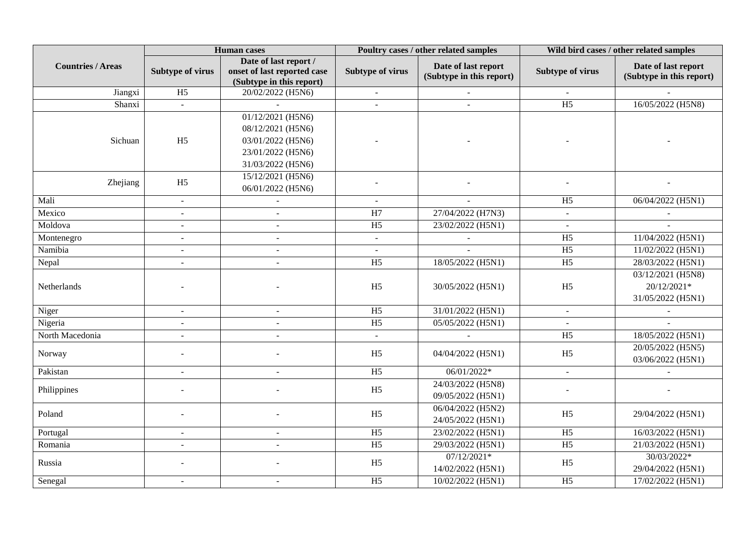|                          | <b>Human</b> cases       |                             | Poultry cases / other related samples |                          | Wild bird cases / other related samples |                          |
|--------------------------|--------------------------|-----------------------------|---------------------------------------|--------------------------|-----------------------------------------|--------------------------|
| <b>Countries / Areas</b> |                          | Date of last report /       |                                       | Date of last report      |                                         | Date of last report      |
|                          | <b>Subtype of virus</b>  | onset of last reported case | <b>Subtype of virus</b>               | (Subtype in this report) | <b>Subtype of virus</b>                 | (Subtype in this report) |
|                          |                          | (Subtype in this report)    |                                       |                          |                                         |                          |
| Jiangxi                  | H <sub>5</sub>           | 20/02/2022 (H5N6)           | $\blacksquare$                        | $\sim$                   |                                         |                          |
| Shanxi                   | $\omega$                 |                             | $\sim$                                | $\overline{a}$           | $\overline{H5}$                         | 16/05/2022 (H5N8)        |
|                          |                          | 01/12/2021 (H5N6)           |                                       |                          |                                         |                          |
|                          |                          | 08/12/2021 (H5N6)           |                                       |                          |                                         |                          |
| Sichuan                  | H <sub>5</sub>           | 03/01/2022 (H5N6)           |                                       |                          |                                         |                          |
|                          |                          | 23/01/2022 (H5N6)           |                                       |                          |                                         |                          |
|                          |                          | 31/03/2022 (H5N6)           |                                       |                          |                                         |                          |
| Zhejiang                 | H <sub>5</sub>           | 15/12/2021 (H5N6)           |                                       |                          |                                         |                          |
|                          |                          | 06/01/2022 (H5N6)           |                                       |                          |                                         |                          |
| Mali                     | $\blacksquare$           |                             | $\mathbf{r}$                          | $\sim$                   | H <sub>5</sub>                          | 06/04/2022 (H5N1)        |
| Mexico                   | $\overline{a}$           | $\sim$                      | H7                                    | 27/04/2022 (H7N3)        | $\equiv$                                | $\sim$                   |
| Moldova                  | $\overline{\phantom{a}}$ | $\blacksquare$              | $\overline{H5}$                       | 23/02/2022 (H5N1)        |                                         |                          |
| Montenegro               | $\overline{\phantom{a}}$ | $\sim$                      | $\blacksquare$                        |                          | H <sub>5</sub>                          | 11/04/2022 (H5N1)        |
| Namibia                  | $\blacksquare$           | $\sim$                      | $\blacksquare$                        |                          | $\overline{H5}$                         | 11/02/2022 (H5N1)        |
| Nepal                    | $\overline{a}$           | L.                          | $\overline{H5}$                       | 18/05/2022 (H5N1)        | $\overline{H5}$                         | 28/03/2022 (H5N1)        |
|                          |                          |                             |                                       |                          |                                         | 03/12/2021 (H5N8)        |
| Netherlands              |                          |                             | H <sub>5</sub>                        | 30/05/2022 (H5N1)        | H <sub>5</sub>                          | $20/12/2021*$            |
|                          |                          |                             |                                       |                          |                                         | 31/05/2022 (H5N1)        |
| Niger                    | $\blacksquare$           |                             | H <sub>5</sub>                        | 31/01/2022 (H5N1)        | $\overline{a}$                          |                          |
| Nigeria                  | $\sim$                   | $\overline{\phantom{a}}$    | H <sub>5</sub>                        | 05/05/2022 (H5N1)        |                                         | $\mathbf{r}$             |
| North Macedonia          |                          | $\sim$                      | $\mathbf{r}$                          | $\sim$                   | H <sub>5</sub>                          | 18/05/2022 (H5N1)        |
|                          |                          |                             | H <sub>5</sub>                        | 04/04/2022 (H5N1)        | H <sub>5</sub>                          | 20/05/2022 (H5N5)        |
| Norway                   |                          |                             |                                       |                          |                                         | 03/06/2022 (H5N1)        |
| Pakistan                 | $\blacksquare$           | $\overline{\phantom{a}}$    | H <sub>5</sub>                        | 06/01/2022*              | $\omega$                                |                          |
|                          |                          |                             |                                       | 24/03/2022 (H5N8)        |                                         |                          |
| Philippines              |                          |                             | H <sub>5</sub>                        | 09/05/2022 (H5N1)        |                                         |                          |
| Poland                   |                          |                             | H <sub>5</sub>                        | 06/04/2022 (H5N2)        | H <sub>5</sub>                          |                          |
|                          |                          |                             |                                       | 24/05/2022 (H5N1)        |                                         | 29/04/2022 (H5N1)        |
| Portugal                 | $\sim$                   |                             | H <sub>5</sub>                        | 23/02/2022 (H5N1)        | H <sub>5</sub>                          | 16/03/2022 (H5N1)        |
| Romania                  | $\sim$                   | $\sim$                      | H <sub>5</sub>                        | 29/03/2022 (H5N1)        | H <sub>5</sub>                          | 21/03/2022 (H5N1)        |
|                          | $\overline{a}$           |                             | H <sub>5</sub>                        | 07/12/2021*              | H <sub>5</sub>                          | 30/03/2022*              |
| Russia                   |                          |                             |                                       | 14/02/2022 (H5N1)        |                                         | 29/04/2022 (H5N1)        |
| Senegal                  |                          |                             | H <sub>5</sub>                        | 10/02/2022 (H5N1)        | H <sub>5</sub>                          | 17/02/2022 (H5N1)        |